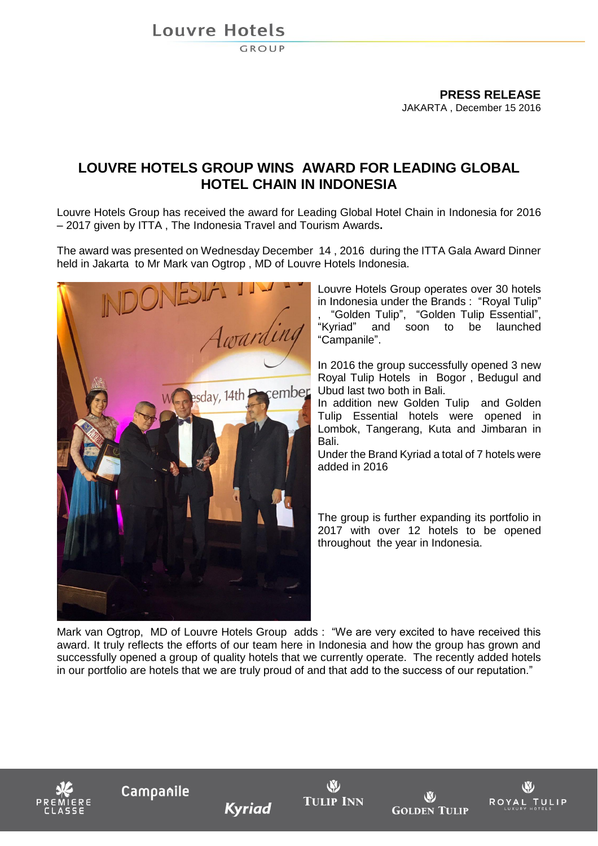**Louvre Hotels** 

**GROUP** 

**PRESS RELEASE** JAKARTA , December 15 2016

## **LOUVRE HOTELS GROUP WINS AWARD FOR LEADING GLOBAL HOTEL CHAIN IN INDONESIA**

Louvre Hotels Group has received the award for Leading Global Hotel Chain in Indonesia for 2016 – 2017 given by ITTA , The Indonesia Travel and Tourism Awards**.**

The award was presented on Wednesday December 14 , 2016 during the ITTA Gala Award Dinner held in Jakarta to Mr Mark van Ogtrop , MD of Louvre Hotels Indonesia.



Louvre Hotels Group operates over 30 hotels in Indonesia under the Brands : "Royal Tulip" , "Golden Tulip", "Golden Tulip Essential", "Kyriad" and soon to be launched "Campanile".

In 2016 the group successfully opened 3 new Royal Tulip Hotels in Bogor , Bedugul and Ubud last two both in Bali.

In addition new Golden Tulip and Golden Tulip Essential hotels were opened in Lombok, Tangerang, Kuta and Jimbaran in Bali.

Under the Brand Kyriad a total of 7 hotels were added in 2016

The group is further expanding its portfolio in 2017 with over 12 hotels to be opened throughout the year in Indonesia.

Mark van Ogtrop, MD of Louvre Hotels Group adds : "We are very excited to have received this award. It truly reflects the efforts of our team here in Indonesia and how the group has grown and successfully opened a group of quality hotels that we currently operate. The recently added hotels in our portfolio are hotels that we are truly proud of and that add to the success of our reputation."



**Kyriad** 



W **GOLDEN TULIP**